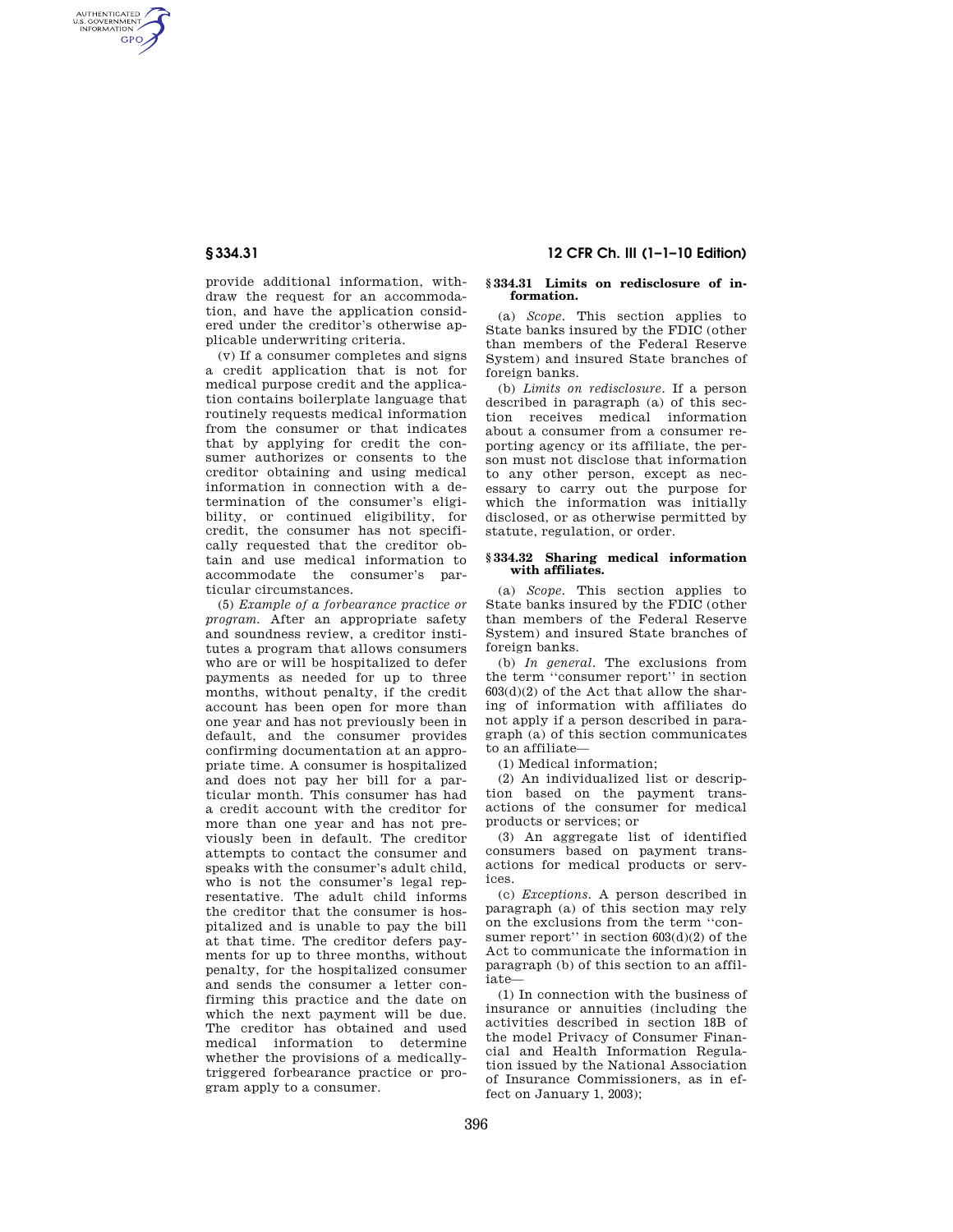AUTHENTICATED<br>U.S. GOVERNMENT<br>INFORMATION **GPO** 

> provide additional information, withdraw the request for an accommodation, and have the application considered under the creditor's otherwise applicable underwriting criteria.

(v) If a consumer completes and signs a credit application that is not for medical purpose credit and the application contains boilerplate language that routinely requests medical information from the consumer or that indicates that by applying for credit the consumer authorizes or consents to the creditor obtaining and using medical information in connection with a determination of the consumer's eligibility, or continued eligibility, for credit, the consumer has not specifically requested that the creditor obtain and use medical information to accommodate the consumer's particular circumstances.

(5) *Example of a forbearance practice or program.* After an appropriate safety and soundness review, a creditor institutes a program that allows consumers who are or will be hospitalized to defer payments as needed for up to three months, without penalty, if the credit account has been open for more than one year and has not previously been in default, and the consumer provides confirming documentation at an appropriate time. A consumer is hospitalized and does not pay her bill for a particular month. This consumer has had a credit account with the creditor for more than one year and has not previously been in default. The creditor attempts to contact the consumer and speaks with the consumer's adult child, who is not the consumer's legal representative. The adult child informs the creditor that the consumer is hospitalized and is unable to pay the bill at that time. The creditor defers payments for up to three months, without penalty, for the hospitalized consumer and sends the consumer a letter confirming this practice and the date on which the next payment will be due. The creditor has obtained and used medical information to determine whether the provisions of a medicallytriggered forbearance practice or program apply to a consumer.

## **§ 334.31 12 CFR Ch. III (1–1–10 Edition)**

#### **§ 334.31 Limits on redisclosure of information.**

(a) *Scope.* This section applies to State banks insured by the FDIC (other than members of the Federal Reserve System) and insured State branches of foreign banks.

(b) *Limits on redisclosure.* If a person described in paragraph (a) of this section receives medical information about a consumer from a consumer reporting agency or its affiliate, the person must not disclose that information to any other person, except as necessary to carry out the purpose for which the information was initially disclosed, or as otherwise permitted by statute, regulation, or order.

#### **§ 334.32 Sharing medical information with affiliates.**

(a) *Scope.* This section applies to State banks insured by the FDIC (other than members of the Federal Reserve System) and insured State branches of foreign banks.

(b) *In general.* The exclusions from the term ''consumer report'' in section 603(d)(2) of the Act that allow the sharing of information with affiliates do not apply if a person described in paragraph (a) of this section communicates to an affiliate—

(1) Medical information;

(2) An individualized list or description based on the payment transactions of the consumer for medical products or services; or

(3) An aggregate list of identified consumers based on payment transactions for medical products or services.

(c) *Exceptions.* A person described in paragraph (a) of this section may rely on the exclusions from the term ''consumer report'' in section  $603(d)(2)$  of the Act to communicate the information in paragraph (b) of this section to an affiliate—

(1) In connection with the business of insurance or annuities (including the activities described in section 18B of the model Privacy of Consumer Financial and Health Information Regulation issued by the National Association of Insurance Commissioners, as in effect on January 1, 2003);